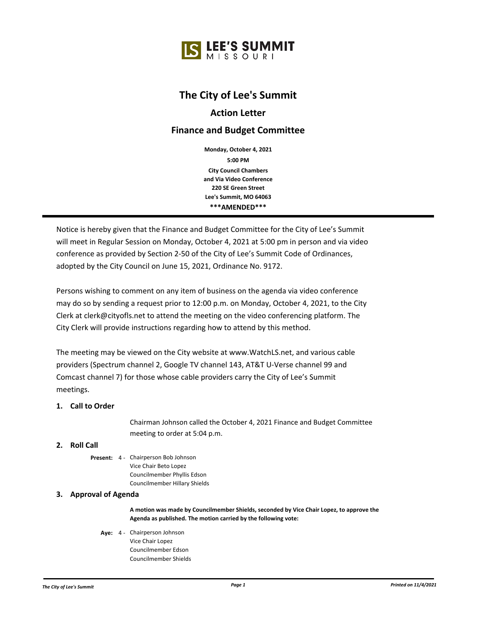# **The City of Lee's Summit**

## **Action Letter**

## **Finance and Budget Committee**

**5:00 PM Monday, October 4, 2021 City Council Chambers and Via Video Conference 220 SE Green Street Lee's Summit, MO 64063 \*\*\*AMENDED\*\*\***

Notice is hereby given that the Finance and Budget Committee for the City of Lee's Summit will meet in Regular Session on Monday, October 4, 2021 at 5:00 pm in person and via video conference as provided by Section 2-50 of the City of Lee's Summit Code of Ordinances, adopted by the City Council on June 15, 2021, Ordinance No. 9172.

Persons wishing to comment on any item of business on the agenda via video conference may do so by sending a request prior to 12:00 p.m. on Monday, October 4, 2021, to the City Clerk at clerk@cityofls.net to attend the meeting on the video conferencing platform. The City Clerk will provide instructions regarding how to attend by this method.

The meeting may be viewed on the City website at www.WatchLS.net, and various cable providers (Spectrum channel 2, Google TV channel 143, AT&T U-Verse channel 99 and Comcast channel 7) for those whose cable providers carry the City of Lee's Summit meetings.

## **1. Call to Order**

Chairman Johnson called the October 4, 2021 Finance and Budget Committee meeting to order at 5:04 p.m.

## **2. Roll Call**

Present: 4 - Chairperson Bob Johnson Vice Chair Beto Lopez Councilmember Phyllis Edson Councilmember Hillary Shields

## **3. Approval of Agenda**

**A motion was made by Councilmember Shields, seconded by Vice Chair Lopez, to approve the Agenda as published. The motion carried by the following vote:**

Aye: 4 - Chairperson Johnson Vice Chair Lopez Councilmember Edson Councilmember Shields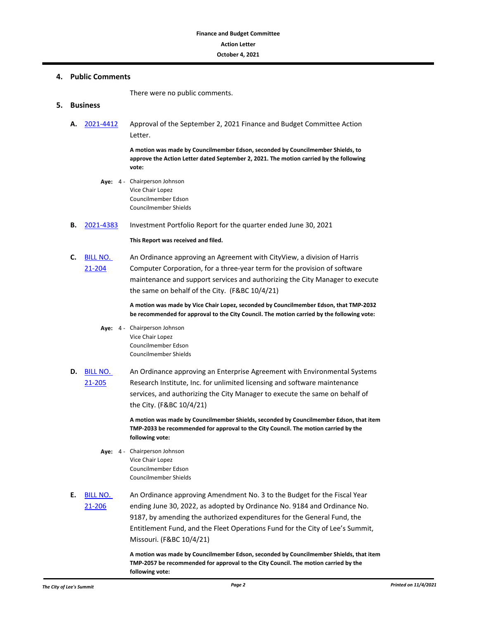#### **4. Public Comments**

There were no public comments.

#### **5. Business**

**A.** [2021-4412](http://lsmo.legistar.com/gateway.aspx?m=l&id=/matter.aspx?key=7017) Approval of the September 2, 2021 Finance and Budget Committee Action Letter.

> **A motion was made by Councilmember Edson, seconded by Councilmember Shields, to approve the Action Letter dated September 2, 2021. The motion carried by the following vote:**

- Aye: 4 Chairperson Johnson Vice Chair Lopez Councilmember Edson Councilmember Shields
- **B.** [2021-4383](http://lsmo.legistar.com/gateway.aspx?m=l&id=/matter.aspx?key=6986) Investment Portfolio Report for the quarter ended June 30, 2021

#### **This Report was received and filed.**

**C.** [BILL NO.](http://lsmo.legistar.com/gateway.aspx?m=l&id=/matter.aspx?key=6965)  21-204 An Ordinance approving an Agreement with CityView, a division of Harris Computer Corporation, for a three-year term for the provision of software maintenance and support services and authorizing the City Manager to execute the same on behalf of the City. (F&BC 10/4/21)

> **A motion was made by Vice Chair Lopez, seconded by Councilmember Edson, that TMP-2032 be recommended for approval to the City Council. The motion carried by the following vote:**

- Aye: 4 Chairperson Johnson Vice Chair Lopez Councilmember Edson Councilmember Shields
- **D.** [BILL NO.](http://lsmo.legistar.com/gateway.aspx?m=l&id=/matter.aspx?key=6966)  21-205 An Ordinance approving an Enterprise Agreement with Environmental Systems Research Institute, Inc. for unlimited licensing and software maintenance services, and authorizing the City Manager to execute the same on behalf of the City. (F&BC 10/4/21)

**A motion was made by Councilmember Shields, seconded by Councilmember Edson, that item TMP-2033 be recommended for approval to the City Council. The motion carried by the following vote:**

- Aye: 4 Chairperson Johnson Vice Chair Lopez Councilmember Edson Councilmember Shields
- **E.** [BILL NO.](http://lsmo.legistar.com/gateway.aspx?m=l&id=/matter.aspx?key=7031)  21-206 An Ordinance approving Amendment No. 3 to the Budget for the Fiscal Year ending June 30, 2022, as adopted by Ordinance No. 9184 and Ordinance No. 9187, by amending the authorized expenditures for the General Fund, the Entitlement Fund, and the Fleet Operations Fund for the City of Lee's Summit, Missouri. (F&BC 10/4/21)

**A motion was made by Councilmember Edson, seconded by Councilmember Shields, that item TMP-2057 be recommended for approval to the City Council. The motion carried by the following vote:**